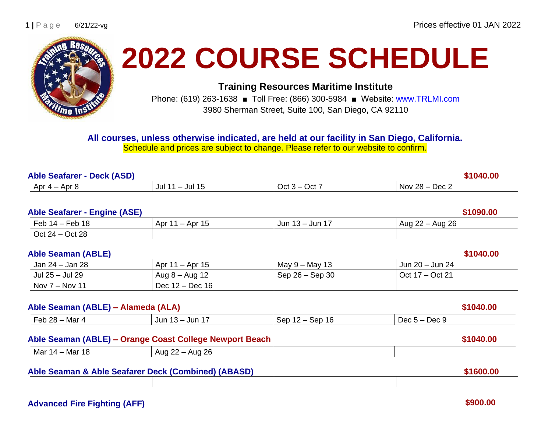

# **2022 COURSE SCHEDULE**

**Training Resources Maritime Institute**

Phone: (619) 263-1638 ■ Toll Free: (866) 300-5984 ■ Website: [www.TRLMI.com](http://www.trlmi.com/) 3980 Sherman Street, Suite 100, San Diego, CA 92110

### **All courses, unless otherwise indicated, are held at our facility in San Diego, California.**

Schedule and prices are subject to change. Please refer to our website to confirm.

| <b>Able Seafarer - Deck (ASD)</b> |            |               |            |
|-----------------------------------|------------|---------------|------------|
| Apr $4-$                          | ' – Jul 15 | $\cdot$ Oct 7 | Nov $28 -$ |
| Apr 8                             | Jul        | $Oct 3 -$     | – Dec 2    |

# **Able Seafarer - Engine (ASE) \$1090.00** Feb 14 – Feb 18 Apr 11 – Apr 15 Jun 13 – Jun 17 Aug 22 – Aug 26 Oct 24 – Oct 28 **Able Seaman (ABLE)** \$1040.00 Jan 24 – Jan 28 Apr 11 – Apr 15 May 9 – May 13 Jun 20 – Jun 24 Jul 25 – Jul 29 Aug 8 – Aug 12 Sep 26 – Sep 30 Oct 17 – Oct 21 Nov 7 – Nov 11 Dec 12 – Dec 16 **Able Seaman (ABLE) – Alameda (ALA) \$1040.00** Feb 28 – Mar 4 Jun 13 – Jun 17 Sep 12 – Sep 16 Dec 5 – Dec 9 **Able Seaman (ABLE) – Orange Coast College Newport Beach \$1040.00** Mar  $14 - \text{Mar } 18$  | Aug  $22 - \text{Aug } 26$

| Able Seaman & Able Seafarer Deck (Combined) (ABASD) |  |  | \$1600.00 |
|-----------------------------------------------------|--|--|-----------|
|                                                     |  |  |           |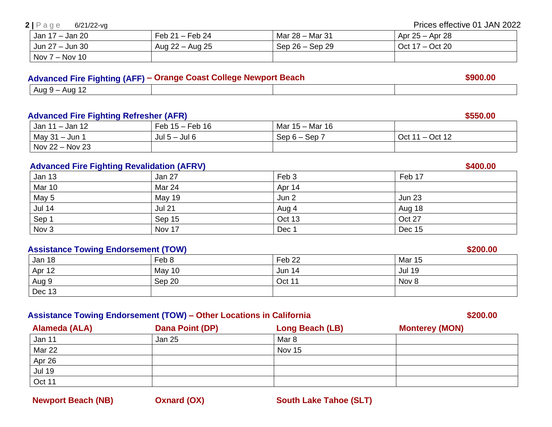**Newport Beach (NB) Conard (OX) South Lake Tahoe (SLT)** 

### **2** | P a g e 6/21/22-vg Prices effective 01 JAN 2022

| Jan 17 – Jan 20  | Feb $21 -$ Feb 24 | Mar $28 -$ Mar 31 | Apr 25 – Apr 28   |
|------------------|-------------------|-------------------|-------------------|
| Jun 27 – Jun 30  | Aug 22 – Aug 25   | $Sep 26 - Sep 29$ | Oct $17 - Oct$ 20 |
| Nov $7 -$ Nov 10 |                   |                   |                   |

### **Advanced Fire Fighting (AFF) – Orange Coast College Newport Beach \$900.00**

| ٦u<br>. . |  |
|-----------|--|

### **Advanced Fire Fighting Refresher (AFR) \$550.00**

| - Jan 12<br>Jan 11 | $Feb 15 - .$<br>Feb 16 | Mar 15 - Mar 16 |               |
|--------------------|------------------------|-----------------|---------------|
| $May 31 - Jun$     | Jul $5 -$ Jul $6$      | Sep<br>$Sep 6-$ | Oct 12<br>Oct |
| $Nov 22 - Nov 23$  |                        |                 |               |

### Advanced Fire Fighting Revalidation (AFRV) **\$400.00** \$400.00

| <b>Jan 13</b> | Jan 27        | Feb 3  | Feb 17        |
|---------------|---------------|--------|---------------|
| Mar 10        | Mar 24        | Apr 14 |               |
| May 5         | <b>May 19</b> | Jun 2  | <b>Jun 23</b> |
| Jul 14        | <b>Jul 21</b> | Aug 4  | Aug 18        |
| Sep 1         | Sep 15        | Oct 13 | Oct 27        |
| Nov 3         | Nov 17        | Dec 1  | Dec 15        |

### **Assistance Towing Endorsement (TOW) \$200.00 \$200.00**

| <b>Jan 18</b>  | Feb 8  | Feb <sub>22</sub> | <b>Mar 15</b> |
|----------------|--------|-------------------|---------------|
| Apr 12         | May 10 | <b>Jun 14</b>     | <b>Jul 19</b> |
| Aug 9          | Sep 20 | Oct 11            | Nov 8         |
| $\vert$ Dec 13 |        |                   |               |

### **Assistance Towing Endorsement (TOW) – Other Locations in California \$200.00**

**Alameda (ALA) Dana Point (DP) Long Beach (LB) Monterey (MON)** Jan 11 **Jan 25 Mar 8** Mar 8 Mar 22 **November 20** Nov 15 Apr 26 Jul 19 Oct 11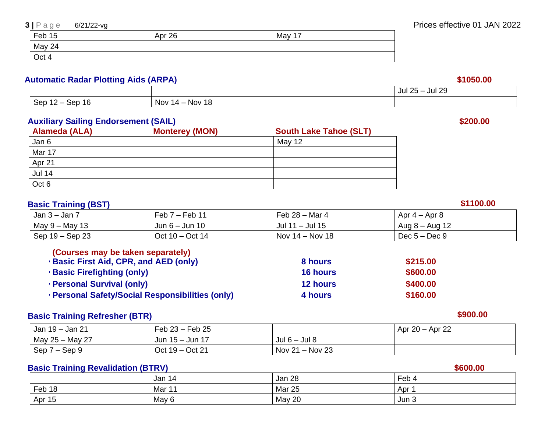May 24 Oct 4

Feb 15 Apr 26 May 17

### **Automatic Radar Plotting Aids (ARPA) \$1050.00**

|                                                                                                       |                                      | $\sim$<br>ת ה<br>Jul<br>JUI ∠9<br>$\overline{\phantom{a}}$<br>Ζu |
|-------------------------------------------------------------------------------------------------------|--------------------------------------|------------------------------------------------------------------|
| ۵ <sub>۵r</sub><br>$\overline{\phantom{a}}$<br>ີ້<br>$\overline{\phantom{0}}$<br>ιo<br>uuu<br>vu<br>_ | 18<br><b>Nov</b><br>→ Nov 1<br>$4 -$ |                                                                  |

### **Auxiliary Sailing Endorsement (SAIL) \$200.00**

| Alameda (ALA) | <b>Monterey (MON)</b> | <b>South Lake Tahoe (SLT)</b> |
|---------------|-----------------------|-------------------------------|
| Jan 6         |                       | May 12                        |
| Mar 17        |                       |                               |
| Apr 21        |                       |                               |
| <b>Jul 14</b> |                       |                               |
| Oct 6         |                       |                               |

### **Basic Training (BST) \$1100.00**

| Jan 3 – Jan <sup>-</sup> | $-$ Feb 11<br>Feb <sub>1</sub> | Feb 28 – Mar 4       | Apr $4 -$ Apr 8  |
|--------------------------|--------------------------------|----------------------|------------------|
| May 9 – May 13           | Jun $6 -$ Jun 10               | . – Jul 15<br>Jul 11 | Aug $8 -$ Aug 12 |
| Sep 19 – Sep 23          | Oct $10 - \text{Oct } 14$      | Nov 14 – Nov 18      | Dec $5 - Dec 9$  |

| (Courses may be taken separately)                     |                 |          |
|-------------------------------------------------------|-----------------|----------|
| <b>Basic First Aid, CPR, and AED (only)</b>           | 8 hours         | \$215.00 |
| <b>Basic Firefighting (only)</b>                      | <b>16 hours</b> | \$600.00 |
| <b>Personal Survival (only)</b>                       | <b>12 hours</b> | \$400.00 |
| <b>Personal Safety/Social Responsibilities (only)</b> | 4 hours         | \$160.00 |

### **Basic Training Refresher (BTR)** \$900.00

| Jan 19 – Jan 21         | Feb $23 -$ Feb $25$ |                     | Apr $20 -$ Apr 22 |
|-------------------------|---------------------|---------------------|-------------------|
| $\vert$ May 25 – May 27 | Jun 15 - Jun 17     | Jul $6 -$ Jul 8     |                   |
| Sep 7 – Sep 9           | Oct 19 – Oct 21     | Nov $21 -$ Nov $23$ |                   |

### **Basic Training Revalidation (BTRV) 1999 1999 1999 1999 1999 1999 1999 1999 1999 1999 1999 1999 1999 1999 1999 1999 1999 1999 1999 1999 1999 1999 1999 1999 1999 1999 19**

| ____<br>_____ |        |               | ------- |
|---------------|--------|---------------|---------|
|               | Jan 14 | Jan 28        | $Feb +$ |
| Feb 18        | Mar 11 | <b>Mar 25</b> | Apr     |
| Apr 15        | May 6  | May 20        | Jun 3   |

### **3** | P a g e 6/21/22-vg Prices effective 01 JAN 2022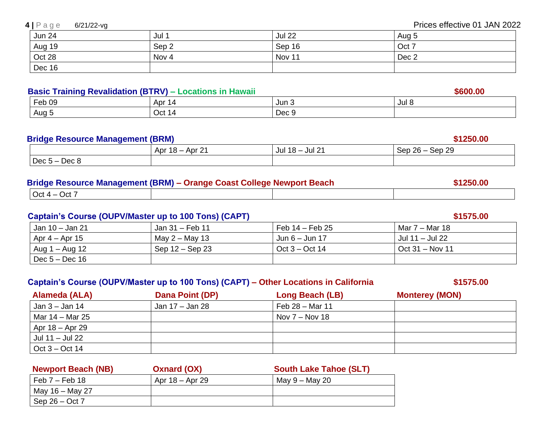|  | $4 P \text{age}$ |  |  |  | $6/21/22$ -vg |
|--|------------------|--|--|--|---------------|
|--|------------------|--|--|--|---------------|

| <b>Jun 24</b> | Jul <sup>1</sup> | <b>Jul 22</b> | Aug 5 |
|---------------|------------------|---------------|-------|
| Aug 19        | Sep <sub>2</sub> | Sep 16        | Oct 7 |
| Oct 28        | Nov 4            | Nov 11        | Dec 2 |
| Dec 16        |                  |               |       |

### **Basic Training Revalidation (BTRV) – Locations in Hawaii**  $\blacksquare$  **\$600.000 \$600.00**

| - -<br>Feb 09 | ⊣ Apr 1<br>ıд | Jun 3            | JUI 0 |
|---------------|---------------|------------------|-------|
| Aug           | Oct 1<br>14   | <b>Doc</b><br>∟∪ |       |

### **Bridge Resource Management (BRM) \$1250.00**

| - - - - - - - - . - - - - - - - | --------                             |                         |                         |
|---------------------------------|--------------------------------------|-------------------------|-------------------------|
|                                 | $·$ Apr 2 <sup>1</sup><br>Apr $18 -$ | Jul 21<br>$18 -$<br>Jul | Sep 29<br>$26 -$<br>Sep |
| $Dec 5 -$<br>Dec 8              |                                      |                         |                         |

| Bridge Resource Management (BRM) - Orange Coast College Newport Beach | \$1250.00 |  |  |
|-----------------------------------------------------------------------|-----------|--|--|
| $\vert$ Oct 4 – Oct 7                                                 |           |  |  |

### **Captain's Course (OUPV/Master up to 100 Tons) (CAPT) \$1575.00**

| Jan 10 – Jan 21        | Jan 31 – Feb 11   | Feb $14$ – Feb 25 | Mar 7 – Mar 18               |
|------------------------|-------------------|-------------------|------------------------------|
| $\sqrt{4 -$ Apr 15     | May $2 -$ May 13  | Jun $6 -$ Jun 17  | <sup>'</sup> Jul 11 – Jul 22 |
| $\vert$ Aug 1 – Aug 12 | Sep $12 -$ Sep 23 | Oct $3 - Oct$ 14  | Oct $31 - Nov 11$            |
| $\vert$ Dec 5 – Dec 16 |                   |                   |                              |

### **Captain's Course (OUPV/Master up to 100 Tons) (CAPT) – Other Locations in California \$1575.00**

 **Alameda (ALA) Dana Point (DP) Long Beach (LB) Monterey (MON)** Jan 3 – Jan 14 Jan 17 – Jan 28 Feb 28 – Mar 11 Mar  $14 - \text{Mar } 25$  Nov 7 – Nov 18 Apr 18 – Apr 29 Jul 11 – Jul 22 Oct 3 – Oct 14

| <b>Newport Beach (NB)</b> | <b>Oxnard (OX)</b> | <b>South Lake Tahoe (SLT)</b> |
|---------------------------|--------------------|-------------------------------|
| Feb $7-$ Feb 18           | Apr $18 -$ Apr 29  | May $9 -$ May 20              |
| May 16 – May 27           |                    |                               |
| Sep $26 - Oct 7$          |                    |                               |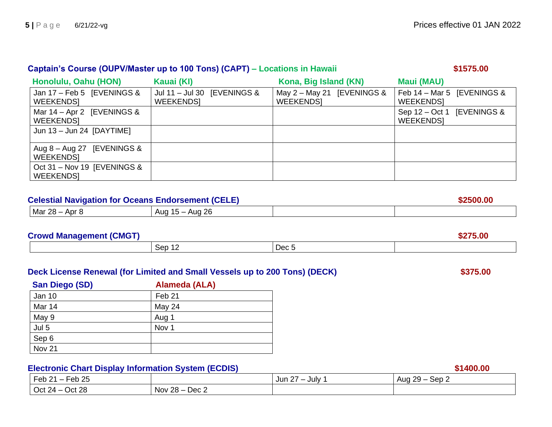| Captain's Course (OUPV/Master up to 100 Tons) (CAPT) - Locations in Hawaii<br>\$1575.00 |                                                 |                                                  |                                                |  |  |
|-----------------------------------------------------------------------------------------|-------------------------------------------------|--------------------------------------------------|------------------------------------------------|--|--|
| Honolulu, Oahu (HON)                                                                    | Kauai (KI)                                      | Kona, Big Island (KN)                            | <b>Maui (MAU)</b>                              |  |  |
| Jan 17 - Feb 5 [EVENINGS &<br><b>WEEKENDSI</b>                                          | Jul 11 - Jul 30 [EVENINGS &<br><b>WEEKENDSI</b> | May $2 -$ May 21 [EVENINGS &<br><b>WEEKENDSI</b> | Feb 14 - Mar 5 [EVENINGS &<br><b>WEEKENDSI</b> |  |  |
| Mar $14 -$ Apr 2 [EVENINGS &<br><b>WEEKENDSI</b>                                        |                                                 |                                                  | Sep 12 – Oct 1 [EVENINGS &<br><b>WEEKENDSI</b> |  |  |
| Jun 13 - Jun 24 [DAYTIME]                                                               |                                                 |                                                  |                                                |  |  |
| Aug $8 -$ Aug 27 [EVENINGS &<br><b>WEEKENDSI</b>                                        |                                                 |                                                  |                                                |  |  |
| Oct 31 - Nov 19 [EVENINGS &<br><b>WEEKENDSI</b>                                         |                                                 |                                                  |                                                |  |  |

| <b>Celestial Navigation for Oceans Endorsement (CELE)</b> |                   |  |  |
|-----------------------------------------------------------|-------------------|--|--|
| $Mar 28 - Apr 8$                                          | Aug $15 -$ Aug 26 |  |  |

| <b>Crowd Management (CMGT)</b> | ,.uv          |       |  |
|--------------------------------|---------------|-------|--|
|                                | Sep 12<br>╶╹∠ | Dec 5 |  |

| Deck License Renewal (for Limited and Small Vessels up to 200 Tons) (DECK) | \$375.00 |
|----------------------------------------------------------------------------|----------|
|                                                                            |          |

| San Diego (SD) | Alameda (ALA)     |  |
|----------------|-------------------|--|
| Jan 10         | Feb <sub>21</sub> |  |
| Mar 14         | May 24            |  |
| May 9          | Aug 1             |  |
| Jul 5          | Nov 1             |  |
| Sep 6          |                   |  |
| <b>Nov 21</b>  |                   |  |

**Electronic Chart Display Information System (ECDIS)**  $\sqrt{\frac{1}{\text{Jun }27 - \text{July }1}}$   $\text{Aug }29 - \text{Sep }2$ Jun 27 – July 1  $\vert$  Aug 29 – Sep 2 Oct 24 – Oct 28  $\vert$  Nov 28 – Dec 2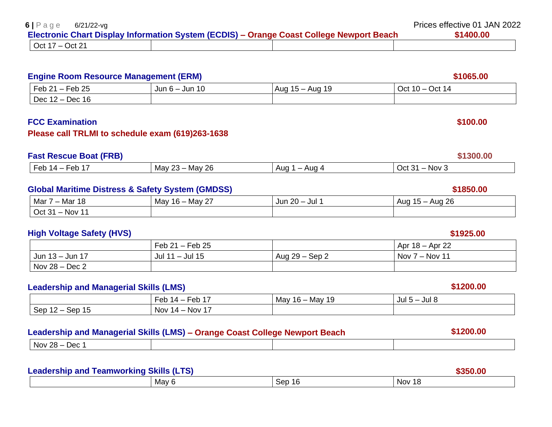| 6 Page<br>6/21/22-vg |                                                                                          | Prices effective 01 JAN 2022 |
|----------------------|------------------------------------------------------------------------------------------|------------------------------|
|                      | Electronic Chart Display Information System (ECDIS) – Orange Coast College Newport Beach | \$1400.00                    |
| Oct $17 - Oct$ 21    |                                                                                          |                              |

### **Engine Room Resource Management (ERM)** *Bosic* **Constant Constant Constant Constant Constant Constant Constant Constant Constant Constant Constant Constant Constant Constant Constant Constant Constant Constant Constant Co**

| $-$ Feb 25<br>Feb 21               | Jun $6 -$ Jun 10 | -19<br>Aug<br>Aua<br>15 —<br>1 J | Oct 14<br>Oct $10 -$ |
|------------------------------------|------------------|----------------------------------|----------------------|
| Dec 1<br>Dec 16<br>$\sim$ 14 $-$ 1 |                  |                                  |                      |

### **FCC Examination \$100.00**

### **Please call TRLMI to schedule exam (619)263-1638**

### **Fast Rescue Boat (FRB)** \$1300.00

| ~r<br>– Ar<br>.<br>u<br>ັບ | റമ<br>~~<br>May<br>Mav<br>∠ບ<br>້ | Λ.<br>$\overline{110}$<br>AUC<br>$\cdots$<br>Auu | Nov<br>ירו |
|----------------------------|-----------------------------------|--------------------------------------------------|------------|
|                            |                                   |                                                  |            |

### **Global Maritime Distress & Safety System (GMDSS) \$1850.00**

### Mar 7 – Mar 18 **May 16 – May 27** Jun 20 – Jul 1 Aug 15 – Aug 26 Oct 31 – Nov 11

### **High Voltage Safety (HVS) \$1925.00**

|                         | Feb $21 -$ Feb 25 |                | Apr 18 – Apr 22       |
|-------------------------|-------------------|----------------|-----------------------|
| Jun 13 - Jun 17         | Jul 11 - Jul 15   | Aug 29 – Sep 2 | Nov 7<br>$7 - Nov 11$ |
| $\sqrt{$ Nov 28 – Dec 2 |                   |                |                       |

### **Leadership and Managerial Skills (LMS)** *Leadership and Managerial Skills (LMS)* **<b>***S1200.00*

|                              | - -<br>Feb<br>ะีีี∼<br>$14-$<br>־טט | May<br>19 '<br>Mav<br>$16 -$ | Jul 8<br>$-$ Jul 5 $-$ |
|------------------------------|-------------------------------------|------------------------------|------------------------|
| Sep<br>Sep<br>. _<br>∪ו<br>╶ | Nov<br><b>NOV</b><br>14 —<br>.      |                              |                        |

### **Leadership and Managerial Skills (LMS) – Orange Coast College Newport Beach \$1200.00**

|--|

### **Leadership and Teamworking Skills (LTS) \$350.00**

| . |       |                                  | .           |
|---|-------|----------------------------------|-------------|
|   | May f | $S^{\alpha}$<br>ı٢<br>uuu<br>. . | Nov.<br>. . |
|   |       |                                  |             |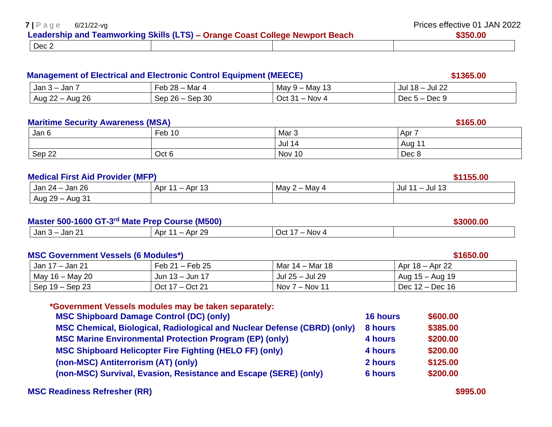| $7 \mid P \text{age}$ | 6/21/22-vg |                                                                              | Prices effective 01 JAN 2022 |  |
|-----------------------|------------|------------------------------------------------------------------------------|------------------------------|--|
|                       |            | Leadership and Teamworking Skills (LTS) – Orange Coast College Newport Beach | \$350,00                     |  |
| $\overline{~}$ Dec 2  |            |                                                                              |                              |  |

### **Management of Electrical and Electronic Control Equipment (MEECE[\) \\$1365.00](https://www.maritimetrainingschool.com/management-of-electrical-)** \$1365.00

| ,Jan 3 —<br>Jan         | $28 -$<br>Mar 4<br>-eb                  | May 9 – May<br>ັບ | Jul 22<br>٦О.<br>Jul<br>$\cdot$ 10 $-$ |
|-------------------------|-----------------------------------------|-------------------|----------------------------------------|
| ഹ<br>Aug 26<br>Aug 22 – | 30 <sub>o</sub><br>$26 -$<br>Sep<br>Sep | – Nov 4<br>Oct 31 | <b>Doo U</b><br>Dec 5<br>n – Dec S     |

### **Maritime Security Awareness (MSA) 165.00 165.00 5165.00**

| Jan 6  | Feb 10 | Mar <sub>3</sub> | Apr   |
|--------|--------|------------------|-------|
|        |        | Jul 14           | Aug 1 |
| Sep 22 | Oct 6  | Nov 10           | Dec 8 |

### **Medical First Aid Provider (MFP)** \$1155.00

|                    |                     |                              | _ _ _ _ _ _ _          |
|--------------------|---------------------|------------------------------|------------------------|
| Jan 26<br>Jan 24 – | Apr<br>Apr 1<br>ں ا | $-$ May 4<br>May<br><u>_</u> | <b>Jul 13</b><br>Jul 1 |
| Aug 29 -<br>Aug 31 |                     |                              |                        |

### **Master 500-1600 GT-3 rd Mate Prep Course (M500) \$3000.00**

| Jar<br>.<br>Apr<br>Jan<br>. .<br>__ | റ<br>Oct<br>w | Nov.<br>. |
|-------------------------------------|---------------|-----------|

### **MSC Government Vessels (6 Modules\*) \$1650.00**

| Jan 17 – Jan 21         | Feb $21 -$ Feb $25$ | Mar 14 - Mar 18  | Apr 18 – Apr 22   |
|-------------------------|---------------------|------------------|-------------------|
| $\vert$ May 16 – May 20 | Jun $13 -$ Jun 17   | Jul 25 - Jul 29  | Aug $15 -$ Aug 19 |
| $\vert$ Sep 19 – Sep 23 | Oct 17 – Oct 21     | Nov $7 -$ Nov 11 | Dec $12 - Dec 16$ |

| *Government Vessels modules may be taken separately:                     |                 |          |
|--------------------------------------------------------------------------|-----------------|----------|
| <b>MSC Shipboard Damage Control (DC) (only)</b>                          | <b>16 hours</b> | \$600.00 |
| MSC Chemical, Biological, Radiological and Nuclear Defense (CBRD) (only) | 8 hours         | \$385.00 |
| <b>MSC Marine Environmental Protection Program (EP) (only)</b>           | 4 hours         | \$200.00 |
| <b>MSC Shipboard Helicopter Fire Fighting (HELO FF) (only)</b>           | 4 hours         | \$200.00 |
| (non-MSC) Antiterrorism (AT) (only)                                      | 2 hours         | \$125.00 |
| (non-MSC) Survival, Evasion, Resistance and Escape (SERE) (only)         | <b>6 hours</b>  | \$200.00 |

### **MSC Readiness Refresher (RR) \$995.00 \$995.00**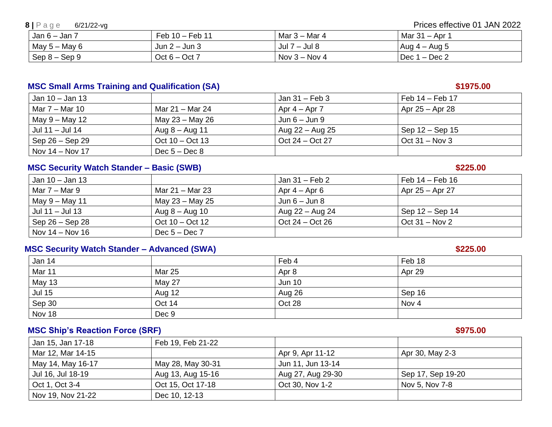**8** | P a g e 6/21/22-vg Prices effective 01 JAN 2022

| $Jan 6 - Jan 7$ | Feb 10 - Feb 11   | Mar 3 – Mar 4    | Mar 31 – Apr 1  |
|-----------------|-------------------|------------------|-----------------|
| May $5 -$ May 6 | Jun $2 -$ Jun $3$ | Jul 7<br>– Jul 8 | Aug $4 -$ Aug 5 |
| $Sep 8 - Sep 9$ | $Oct 6 - Oct 7$   | Nov $3 -$ Nov 4  | Dec $1 - Dec 2$ |

### **MSC Small Arms Training and Qualification (SA) <b>\$1975.00 \$1975.00**

| Jan 10 – Jan 13   |                           | Jan 31 – Feb 3    | Feb 14 – Feb 17     |
|-------------------|---------------------------|-------------------|---------------------|
| Mar 7 – Mar 10    | Mar 21 – Mar 24           | Apr $4 -$ Apr $7$ | Apr 25 – Apr 28     |
| May 9 – May 12    | May 23 – May 26           | Jun $6 -$ Jun $9$ |                     |
| Jul 11 – Jul 14   | Aug $8 -$ Aug 11          | Aug 22 – Aug 25   | Sep $12 -$ Sep $15$ |
| Sep 26 – Sep 29   | Oct $10 - \text{Oct } 13$ | $Oct 24 - Oct 27$ | Oct $31 - Nov 3$    |
| Nov $14 -$ Nov 17 | Dec $5 - Dec 8$           |                   |                     |

### **MSC Security Watch Stander – Basic (SWB) \$225.00**

| Jan 10 – Jan 13   |                           | Jan 31 – Feb 2    | Feb 14 – Feb 16  |
|-------------------|---------------------------|-------------------|------------------|
| Mar $7 -$ Mar 9   | Mar 21 – Mar 23           | Apr $4 -$ Apr $6$ | Apr 25 – Apr 27  |
| $May 9 - May 11$  | May 23 – May 25           | Jun $6 -$ Jun $8$ |                  |
| Jul 11 - Jul 13   | Aug $8 -$ Aug 10          | Aug 22 – Aug 24   | Sep 12 – Sep 14  |
| Sep 26 – Sep 28   | Oct $10 - \text{Oct } 12$ | Oct $24 - Oct$ 26 | Oct $31 - Nov 2$ |
| Nov 14 $-$ Nov 16 | $\Gamma$ Dec 5 – Dec 7    |                   |                  |

### **MSC Security Watch Stander – Advanced (SWA) \$225.00**

| Jan 14        |               | Feb 4         | Feb 18 |
|---------------|---------------|---------------|--------|
| Mar 11        | Mar 25        | Apr 8         | Apr 29 |
| <b>May 13</b> | <b>May 27</b> | <b>Jun 10</b> |        |
| <b>Jul 15</b> | Aug 12        | Aug 26        | Sep 16 |
| Sep 30        | Oct 14        | Oct 28        | Nov 4  |
| Nov 18        | Dec 9         |               |        |

### **MSC Ship's Reaction Force (SRF) \$975.00**

| Jan 15, Jan 17-18 | Feb 19, Feb 21-22 |                   |                   |
|-------------------|-------------------|-------------------|-------------------|
| Mar 12, Mar 14-15 |                   | Apr 9, Apr 11-12  | Apr 30, May 2-3   |
| May 14, May 16-17 | May 28, May 30-31 | Jun 11, Jun 13-14 |                   |
| Jul 16, Jul 18-19 | Aug 13, Aug 15-16 | Aug 27, Aug 29-30 | Sep 17, Sep 19-20 |
| Oct 1, Oct 3-4    | Oct 15, Oct 17-18 | Oct 30, Nov 1-2   | Nov 5, Nov 7-8    |
| Nov 19, Nov 21-22 | Dec 10, 12-13     |                   |                   |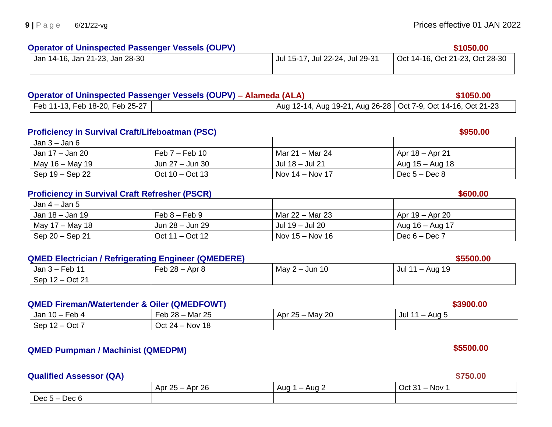### **Operator of Uninspected Passenger Vessels (OUPV) 61050.00 \$1050.00 \$1050.00**

| Jan 14-16, Jan 21-23, Jan 28-30 | Jul 15-17, Jul 22-24, Jul 29-31 | Oct 14-16, Oct 21-23, Oct 28-30 |
|---------------------------------|---------------------------------|---------------------------------|
|                                 |                                 |                                 |

## **Operator of Uninspected Passenger Vessels (OUPV) – Alameda (ALA) \$1050.00**

| Feb 11-13, Feb 18-20, Feb 25-27 |  | Aug 12-14, Aug 19-21, Aug 26-28   Oct 7-9, Oct 14-16, Oct 21-23 |
|---------------------------------|--|-----------------------------------------------------------------|

### **Proficiency in Survival Craft/Lifeboatman (PSC)** \$950.00

| Jan $3$ – Jan $6$ |                           |                   |                 |
|-------------------|---------------------------|-------------------|-----------------|
| Jan 17 – Jan 20   | Feb $7-$ Feb 10           | Mar 21 – Mar 24   | Apr 18 – Apr 21 |
| May $16 -$ May 19 | Jun 27 – Jun 30           | Jul 18 – Jul 21   | Aug 15 – Aug 18 |
| Sep 19 – Sep 22   | Oct $10 - \text{Oct } 13$ | Nov $14 -$ Nov 17 | Dec $5 - Dec 8$ |

### **Proficiency in Survival Craft Refresher (PSCR) \$600.00 \$600.00**

| $\vert$ Jan 4 – Jan 5                  |                     |                   |                 |
|----------------------------------------|---------------------|-------------------|-----------------|
| Jan 18 – Jan 19                        | $Feb 8 - Feb 9$     | Mar 22 – Mar 23   | Apr 19 – Apr 20 |
| $\vert$ May 17 – May 18                | Jun 28 – Jun 29     | Jul 19 - Jul 20   | Aug 16 – Aug 17 |
| $\sqrt{\text{Sep }20 - \text{Sep }21}$ | Oct $11 -$ Oct $12$ | Nov $15 -$ Nov 16 | Dec $6 - Dec 7$ |

### **QMED Electrician / Refrigerating Engineer (QMEDERE) \$5500.00**

| Feb<br>_Jan 3 – F                                           | ററ<br>Feb<br>ـ Apr ب<br>∠∪ | May<br>Jun 10<br>__<br>∼ | 19<br>Jul<br>Aua<br>– |
|-------------------------------------------------------------|----------------------------|--------------------------|-----------------------|
| Oct 21<br>San<br>$\overline{\phantom{0}}$<br>◡◡<br><u>_</u> |                            |                          |                       |

### **QMED Fireman/Watertender & Oiler (QMEDFOWT) \$3900.00**

| Jan<br>- ^ h<br>eo 4-<br>$10 -$ | 25<br>$28 -$<br>−ี∩Һ<br>Mar<br>⊺⊂ບ             | Apr $25 -$ May 20 | Jul<br>Aug ະ |
|---------------------------------|------------------------------------------------|-------------------|--------------|
| Sep<br>Oct<br>$-$<br>$\epsilon$ | ี่ 18<br>$\sim$<br>Oct<br><b>NOV</b><br>$24 -$ |                   |              |

### **QMED Pumpman / Machinist (QMEDPM) \$5500.00**

### **Qualified Assessor (QA)** \$750.00

|                   | Apr 26<br>Apr $25 -$ | Aug<br>Aug ∠ | - Nov<br>Oct 31<br>$\overline{\phantom{0}}$ |
|-------------------|----------------------|--------------|---------------------------------------------|
| Dec $5-$<br>Dec 6 |                      |              |                                             |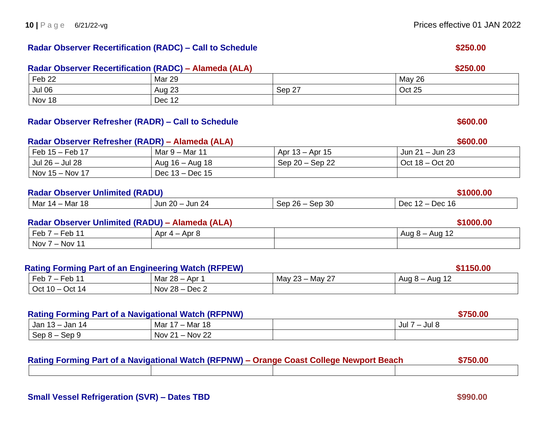### **Radar Observer Recertification (RADC) – Call to Schedule \$250.00**

### **Radar Observer Recertification (RADC) – Alameda (ALA) \$250.00** Feb 22 Mar 29 May 26 Jul 06 | Aug 23 | Sep 27 | Oct 25 Nov 18 Dec 12

# Feb 15 – Feb 17 Mar 9 – Mar 11 Apr 13 – Apr 15 Jun 21 – Jun 23 Jul 26 – Jul 28 Aug 16 – Aug 18 Sep 20 – Sep 22 Oct 18 – Oct 20 Nov 15 – Nov 17 Dec 13 – Dec 15

| ว∩<br>r c<br>Jun<br>. $100$<br>∹∩r<br>Mar<br>Dec<br>∍Mar<br>ו זכי<br>Jur<br>≍ົດເ<br><u>м.</u><br>$\mathbf{u}$<br>ノビハ<br><u>vu</u><br>.<br>. |  |  |
|---------------------------------------------------------------------------------------------------------------------------------------------|--|--|
|                                                                                                                                             |  |  |

| Feb<br><u>—</u><br>Feb | Apr $4-$<br>Apr & | Aua<br>Aug $8-$<br>╹ |
|------------------------|-------------------|----------------------|
| Nov<br>$\cdot$ Nov 11  |                   |                      |

### **Rating Forming Part of an Engineering Watch (RFPEW) \$1150.00**

| Feb<br>$\overline{\phantom{0}}$<br>- 60 | ററ<br>Apr<br>Mar<br>40        | $\sim$ -<br>May<br>May<br>ت∠<br>$\sim$ | Aua<br>Aug |
|-----------------------------------------|-------------------------------|----------------------------------------|------------|
| $\sim$<br>۰~۱<br>ıΔ<br>ົ ເພ<br>◡◡       | റ്റ<br>Dec 2<br>Nov<br>– 20 – |                                        |            |

### **Rating Forming Part of a Navigational Watch (RFPNW) \$750.00**

| $\sim$ . The contract of the contract of the contract of the contract $\sim$ . The contract of the contract of the contract of the contract of the contract of the contract of the contract of the contract of the contract of th |                                             | ---------     |
|-----------------------------------------------------------------------------------------------------------------------------------------------------------------------------------------------------------------------------------|---------------------------------------------|---------------|
| 14<br>Jan<br>Jan<br>.                                                                                                                                                                                                             | Mar 18<br>Mar 1<br>$\overline{\phantom{0}}$ | Jul<br>้งนเ 8 |
| Sep<br><u>ിവെ പ</u><br>ວບບ ວ                                                                                                                                                                                                      | $-$ Nov 22<br><b>Nov 21</b>                 |               |

| Rating Forming Part of a Navigational Watch (RFPNW) – Orange Coast College Newport Beach |  |  |
|------------------------------------------------------------------------------------------|--|--|
|                                                                                          |  |  |

# **Radar Observer Refresher (RADR) – Call to Schedule \$600.00 Radar Observer Refresher (RADR) – Alameda (ALA) \$600.00**

|                                        |                 | ----- | -------------- |
|----------------------------------------|-----------------|-------|----------------|
| Nov 15 – Nov 17                        | Dec 13 – Dec 15 |       |                |
| <b>Radar Observer Unlimited (RADU)</b> |                 |       | \$1000.00      |
|                                        |                 |       |                |

### **Radar Observer Unlimited (RADU) – Alameda (ALA) \$1000.00**

| Feb 7<br>– Feb      | Apr $4-$<br>Apr ک | . <i>.</i> .<br>Aug<br>Aug |
|---------------------|-------------------|----------------------------|
| Nov<br>, $-$ Nov 11 |                   |                            |
|                     |                   |                            |

### **10** | P a g e 6/21/22-vg **Prices effective 01 JAN 2022**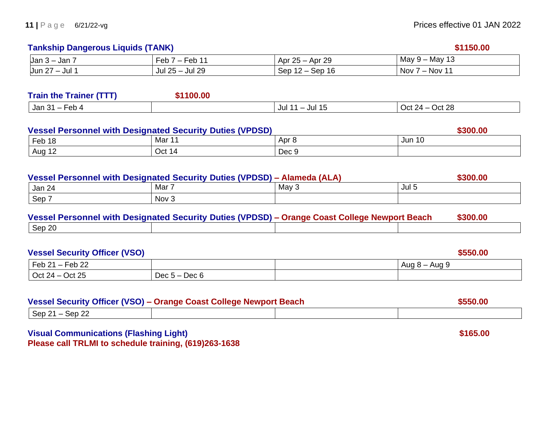### **Tankship Dangerous Liquids (TANK) <b>***S1150.00*

| Jan 3<br>Jar            | . <b>^</b> r<br>⊢eb<br>ັ             | r 29<br>Apr<br>Api<br>. zo –  | May<br>- -<br>May 9<br>ں ا              |
|-------------------------|--------------------------------------|-------------------------------|-----------------------------------------|
| --<br>Jun 2<br>Jul<br>- | -29<br>ົດເ<br>Jul 25 $-$<br>.<br>Jur | Sep<br>sep<br>16<br>—<br>1 Z. | $\lambda$ – Nov $\lambda$<br><b>Nov</b> |

| <b>Train the Trainer (TTT)</b>              | 1100.00 |               |                        |
|---------------------------------------------|---------|---------------|------------------------|
| Feb 4<br>Jan 31<br>$\overline{\phantom{0}}$ |         | Jul 15<br>Jul | Oct 28<br>Oct 24 – $($ |

| <b>Vessel Personnel with Designated Security Duties (VPDSD)</b> |        |       | \$300.00      |  |
|-----------------------------------------------------------------|--------|-------|---------------|--|
| Feb 18                                                          | Mar 11 | Apr 8 | <b>Jun 10</b> |  |
| Aug 12                                                          | Oct 14 | Dec 9 |               |  |

| Vessel Personnel with Designated Security Duties (VPDSD) - Alameda (ALA) |       |         | \$300.00 |
|--------------------------------------------------------------------------|-------|---------|----------|
| Jan 24                                                                   | Mar 7 | May $3$ | Jul 5    |
| $\sqrt{5}$ Sep $\sqrt{7}$                                                | Nov 3 |         |          |

|        | Vessel Personnel with Designated Security Duties (VPDSD) – Orange Coast College Newport Beach | \$300.00 |
|--------|-----------------------------------------------------------------------------------------------|----------|
| Sep 20 |                                                                                               |          |

| <b>Vessel Security Officer (VSO)</b> |                 | \$550.00      |
|--------------------------------------|-----------------|---------------|
| $\vert$ Feb 21 – Feb 22              |                 | Aug 8 – Aug 9 |
| $\vert$ Oct 24 – Oct 25              | Dec $5 - Dec 6$ |               |

| Vessel Security Officer (VSO) - Orange Coast College Newport Beach |  | \$550,00 |
|--------------------------------------------------------------------|--|----------|
| $\sqrt{\text{Sep }21 - \text{Sep }22}$                             |  |          |

**Visual Communications (Flashing Light) 8165.00 Please call TRLMI to schedule training, (619)263-1638**